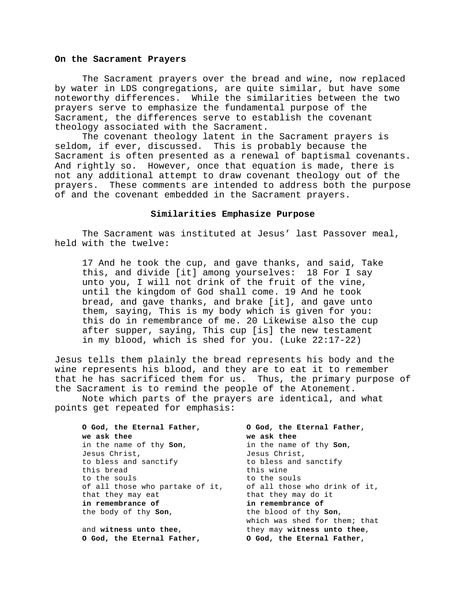## **On the Sacrament Prayers**

The Sacrament prayers over the bread and wine, now replaced by water in LDS congregations, are quite similar, but have some noteworthy differences. While the similarities between the two prayers serve to emphasize the fundamental purpose of the Sacrament, the differences serve to establish the covenant theology associated with the Sacrament.

The covenant theology latent in the Sacrament prayers is seldom, if ever, discussed. This is probably because the Sacrament is often presented as a renewal of baptismal covenants. And rightly so. However, once that equation is made, there is not any additional attempt to draw covenant theology out of the prayers. These comments are intended to address both the purpose of and the covenant embedded in the Sacrament prayers.

## **Similarities Emphasize Purpose**

The Sacrament was instituted at Jesus' last Passover meal, held with the twelve:

17 And he took the cup, and gave thanks, and said, Take this, and divide [it] among yourselves: 18 For I say unto you, I will not drink of the fruit of the vine, until the kingdom of God shall come. 19 And he took bread, and gave thanks, and brake [it], and gave unto them, saying, This is my body which is given for you: this do in remembrance of me. 20 Likewise also the cup after supper, saying, This cup [is] the new testament in my blood, which is shed for you. (Luke 22:17-22)

Jesus tells them plainly the bread represents his body and the wine represents his blood, and they are to eat it to remember that he has sacrificed them for us. Thus, the primary purpose of the Sacrament is to remind the people of the Atonement.

Note which parts of the prayers are identical, and what points get repeated for emphasis:

| O God, the Eternal Father,      | O God, the Eternal Father,    |
|---------------------------------|-------------------------------|
| we ask thee                     | we ask thee                   |
| in the name of thy <b>Son</b> , | in the name of thy Son,       |
| Jesus Christ,                   | Jesus Christ,                 |
| to bless and sanctify           | to bless and sanctify         |
| this bread                      | this wine                     |
| to the souls                    | to the souls                  |
| of all those who partake of it, | of all those who drink of it, |
| that they may eat               | that they may do it           |
| in remembrance of               | in remembrance of             |
| the body of thy <b>Son</b> ,    | the blood of thy Son,         |
|                                 | which was shed for them; that |
| and witness unto thee,          | they may witness unto thee,   |
| 0 God, the Eternal Father,      | 0 God, the Eternal Father,    |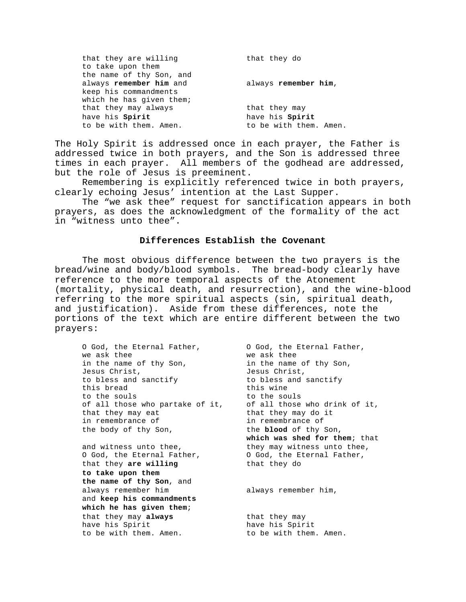| that they are willing<br>to take upon them | that they do           |
|--------------------------------------------|------------------------|
| the name of thy Son, and                   |                        |
| always remember him and                    | always remember him,   |
| keep his commandments                      |                        |
| which he has given them;                   |                        |
| that they may always                       | that they may          |
| have his Spirit                            | have his Spirit        |
| to be with them. Amen.                     | to be with them. Amen. |

The Holy Spirit is addressed once in each prayer, the Father is addressed twice in both prayers, and the Son is addressed three times in each prayer. All members of the godhead are addressed, but the role of Jesus is preeminent.

Remembering is explicitly referenced twice in both prayers, clearly echoing Jesus' intention at the Last Supper.

The "we ask thee" request for sanctification appears in both prayers, as does the acknowledgment of the formality of the act in "witness unto thee".

## **Differences Establish the Covenant**

The most obvious difference between the two prayers is the bread/wine and body/blood symbols. The bread-body clearly have reference to the more temporal aspects of the Atonement (mortality, physical death, and resurrection), and the wine-blood referring to the more spiritual aspects (sin, spiritual death, and justification). Aside from these differences, note the portions of the text which are entire different between the two prayers:

O God, the Eternal Father,  $\begin{array}{ccc} \circ & \circ & \circ & \circ \\ \circ & \circ & \circ & \circ \\ \circ & \circ & \circ & \circ \end{array}$  ve ask thee we ask thee we ask thee in the name of thy Son, in the name of thy Son, Jesus Christ, Jesus Christ, to bless and sanctify to bless and sanctify this bread this wine<br>to the souls to the souls to the souls of all those who partake of it, of all those who drink of it, that they may eat that they may do it in remembrance of in remembrance of the body of thy Son, the **blood** of thy Son, **which was shed for them**; that and witness unto thee, they may witness unto thee, O God, the Eternal Father, O God, the Eternal Father, that they **are willing** that they do **to take upon them the name of thy Son**, and always remember him always remember him, and **keep his commandments which he has given them**; that they may **always** that they may have his Spirit have his Spirit have his Spirit have his Spirit to be with them. Amen.  $\qquad \qquad$  to be with them. Amen.